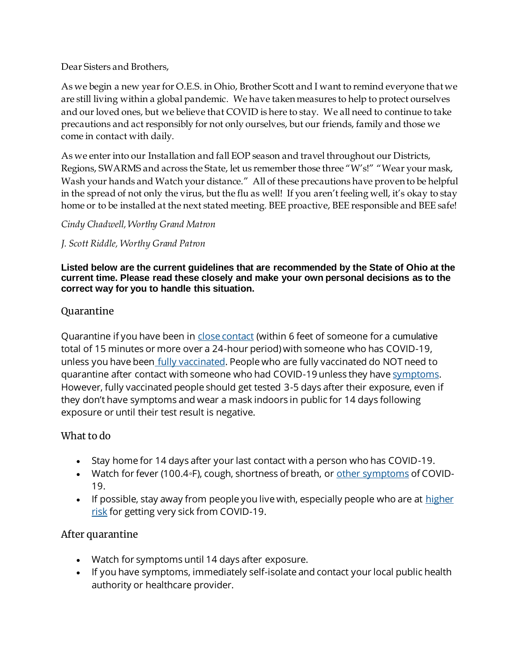Dear Sisters and Brothers,

As we begin a new year for O.E.S. in Ohio, Brother Scott and I want to remind everyone that we are still living within a global pandemic. We have taken measures to help to protect ourselves and our loved ones, but we believe that COVID is here to stay. We all need to continue to take precautions and act responsibly for not only ourselves, but our friends, family and those we come in contact with daily.

As we enter into our Installation and fall EOP season and travel throughout our Districts, Regions, SWARMS and across the State, let us remember those three "W's!" "Wear your mask, Wash your hands and Watch your distance." All of these precautions have proven to be helpful in the spread of not only the virus, but the flu as well! If you aren't feeling well, it's okay to stay home or to be installed at the next stated meeting. BEE proactive, BEE responsible and BEE safe!

*Cindy Chadwell, Worthy Grand Matron*

*J. Scott Riddle, Worthy Grand Patron*

**Listed below are the current guidelines that are recommended by the State of Ohio at the current time. Please read these closely and make your own personal decisions as to the correct way for you to handle this situation.**

### Quarantine

Quarantine if you have been in close contact (within 6 feet of someone for a cumulative total of 15 minutes or more over a 24-hour period) with someone who has COVID-19, unless you have been fully vaccinated. People who are fully vaccinated do NOT need to quarantine after contact with someone who had COVID-19 unless they have symptoms. However, fully vaccinated people should get tested 3-5 days after their exposure, even if they don't have symptoms and wear a mask indoors in public for 14 days following exposure or until their test result is negative.

### What to do

- Stay home for 14 days after your last contact with a person who has COVID-19.
- Watch for fever (100.4◦F), cough, shortness of breath, or <u>other symptoms</u> of COVID-19.
- If possible, stay away from people you live with, especially people who are at  $$ risk for getting very sick from COVID-19.

# After quarantine

- Watch for symptoms until 14 days after exposure.
- If you have symptoms, immediately self-isolate and contact your local public health authority or healthcare provider.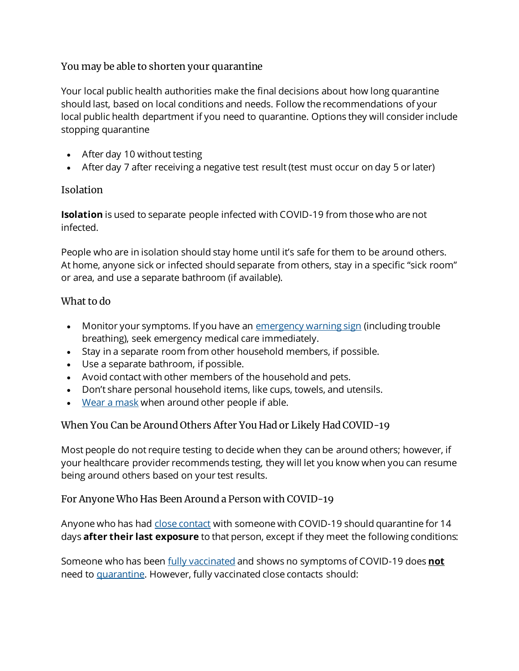### You may be able to shorten your quarantine

Your local public health authorities make the final decisions about how long quarantine should last, based on local conditions and needs. Follow the recommendations of your local public health department if you need to quarantine. Options they will consider include stopping quarantine

- After day 10 without testing
- After day 7 after receiving a negative test result (test must occur on day 5 or later)

# Isolation

**Isolation** is used to separate people infected with COVID-19 from those who are not infected.

People who are in isolation should stay home until it's safe for them to be around others. At home, anyone sick or infected should separate from others, stay in a specific "sick room" or area, and use a separate bathroom (if available).

# What to do

- Monitor your symptoms. If you have an emergency warning sign (including trouble breathing), seek emergency medical care immediately.
- Stay in a separate room from other household members, if possible.
- Use a separate bathroom, if possible.
- Avoid contact with other members of the household and pets.
- Don't share personal household items, like cups, towels, and utensils.
- Wear a mask when around other people if able.

# When You Can be Around Others After You Had or Likely Had COVID-19

Most people do not require testing to decide when they can be around others; however, if your healthcare provider recommends testing, they will let you know when you can resume being around others based on your test results.

# For Anyone Who Has Been Around a Person with COVID-19

Anyone who has had close contact with someone with COVID-19 should quarantine for 14 days **after their last exposure** to that person, except if they meet the following conditions:

Someone who has been fully vaccinated and shows no symptoms of COVID-19 does **not** need to quarantine. However, fully vaccinated close contacts should: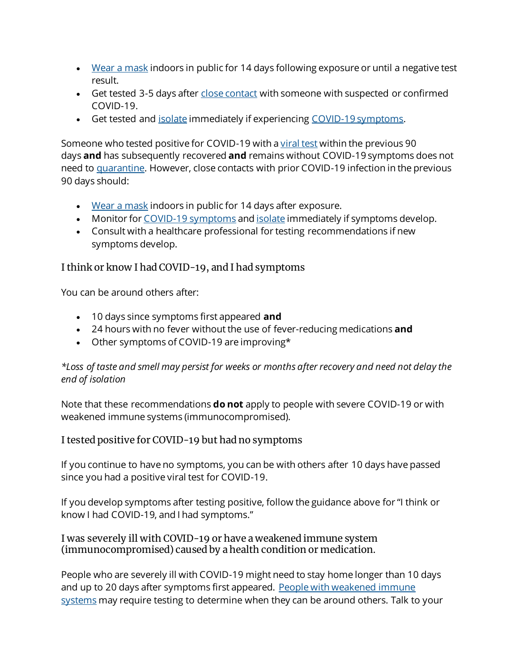- Wear a mask indoors in public for 14 days following exposure or until a negative test result.
- Get tested 3-5 days after close contact with someone with suspected or confirmed COVID-19.
- Get tested and isolate immediately if experiencing COVID-19 symptoms.

Someone who tested positive for COVID-19 with a viral test within the previous 90 days **and** has subsequently recovered **and** remains without COVID-19 symptoms does not need to quarantine. However, close contacts with prior COVID-19 infection in the previous 90 days should:

- Wear a mask indoors in public for 14 days after exposure.
- Monitor for COVID-19 symptoms and isolate immediately if symptoms develop.
- Consult with a healthcare professional for testing recommendations if new symptoms develop.

### I think or know I had COVID-19, and I had symptoms

You can be around others after:

- 10 days since symptoms first appeared **and**
- 24 hours with no fever without the use of fever-reducing medications **and**
- Other symptoms of COVID-19 are improving\*

*\*Loss of taste and smell may persist for weeks or months after recovery and need not delay the end of isolation*

Note that these recommendations **do not** apply to people with severe COVID-19 or with weakened immune systems (immunocompromised).

### I tested positive for COVID-19 but had no symptoms

If you continue to have no symptoms, you can be with others after 10 days have passed since you had a positive viral test for COVID-19.

If you develop symptoms after testing positive, follow the guidance above for "I think or know I had COVID-19, and I had symptoms."

#### I was severely ill with COVID-19 or have a weakened immune system (immunocompromised) caused by a health condition or medication.

People who are severely ill with COVID-19 might need to stay home longer than 10 days and up to 20 days after symptoms first appeared. People with weakened immune systems may require testing to determine when they can be around others. Talk to your